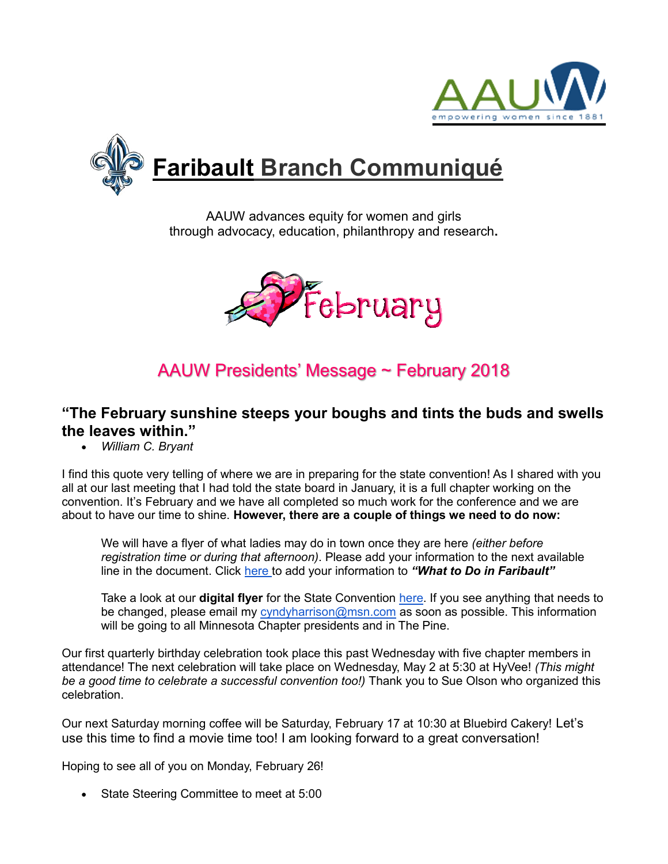



AAUW advances equity for women and girls through advocacy, education, philanthropy and research**.**



# AAUW Presidents' Message ~ February 2018

#### **"The February sunshine steeps your boughs and tints the buds and swells the leaves within."**

*William C. Bryant*

I find this quote very telling of where we are in preparing for the state convention! As I shared with you all at our last meeting that I had told the state board in January, it is a full chapter working on the convention. It's February and we have all completed so much work for the conference and we are about to have our time to shine. **However, there are a couple of things we need to do now:**

We will have a flyer of what ladies may do in town once they are here *(either before registration time or during that afternoon)*. Please add your information to the next available line in the document. Click [here t](https://docs.google.com/spreadsheets/d/1g4AP_u2-y_CrPNbzfX2ujI6eNzh1-TRffxGtiql3ggw/edit?usp=sharing)o add your information to *"What to Do in Faribault"*

Take a look at our **digital flyer** for the State Convention [here.](https://www.smore.com/pn7a5) If you see anything that needs to be changed, please email my [cyndyharrison@msn.com](mailto:cyndyharrison@msn.com) as soon as possible. This information will be going to all Minnesota Chapter presidents and in The Pine.

Our first quarterly birthday celebration took place this past Wednesday with five chapter members in attendance! The next celebration will take place on Wednesday, May 2 at 5:30 at HyVee! *(This might*  be a good time to celebrate a successful convention too!) Thank you to Sue Olson who organized this celebration.

Our next Saturday morning coffee will be Saturday, February 17 at 10:30 at Bluebird Cakery! Let's use this time to find a movie time too! I am looking forward to a great conversation!

Hoping to see all of you on Monday, February 26!

• State Steering Committee to meet at 5:00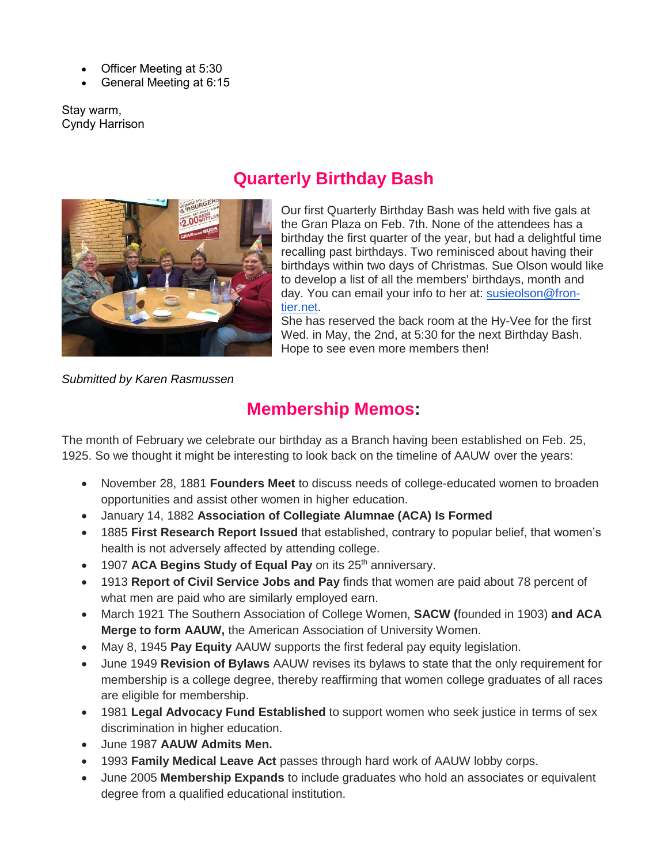- Officer Meeting at 5:30
- General Meeting at 6:15

Stay warm, Cyndy Harrison



# **Quarterly Birthday Bash**

Our first Quarterly Birthday Bash was held with five gals at the Gran Plaza on Feb. 7th. None of the attendees has a birthday the first quarter of the year, but had a delightful time recalling past birthdays. Two reminisced about having their birthdays within two days of Christmas. Sue Olson would like to develop a list of all the members' birthdays, month and day. You can email your info to her at: [susieolson@fron](mailto:susieolson@frontier.net)[tier.net.](mailto:susieolson@frontier.net)

She has reserved the back room at the Hy-Vee for the first Wed. in May, the 2nd, at 5:30 for the next Birthday Bash. Hope to see even more members then!

*Submitted by Karen Rasmussen*

#### **Membership Memos:**

The month of February we celebrate our birthday as a Branch having been established on Feb. 25, 1925. So we thought it might be interesting to look back on the timeline of AAUW over the years:

- November 28, 1881 **Founders Meet** to discuss needs of college-educated women to broaden opportunities and assist other women in higher education.
- January 14, 1882 **Association of Collegiate Alumnae (ACA) Is Formed**
- 1885 **First Research Report Issued** that established, contrary to popular belief, that women's health is not adversely affected by attending college.
- 1907 **ACA Begins Study of Equal Pay** on its 25<sup>th</sup> anniversary.
- 1913 **Report of Civil Service Jobs and Pay** finds that women are paid about 78 percent of what men are paid who are similarly employed earn.
- March 1921 The Southern Association of College Women, **SACW (**founded in 1903) **and ACA Merge to form AAUW,** the American Association of University Women.
- May 8, 1945 **Pay Equity** AAUW supports the first federal pay equity legislation.
- June 1949 **Revision of Bylaws** AAUW revises its bylaws to state that the only requirement for membership is a college degree, thereby reaffirming that women college graduates of all races are eligible for membership.
- 1981 **Legal Advocacy Fund Established** to support women who seek justice in terms of sex discrimination in higher education.
- June 1987 **AAUW Admits Men.**
- 1993 **Family Medical Leave Act** passes through hard work of AAUW lobby corps.
- June 2005 **Membership Expands** to include graduates who hold an associates or equivalent degree from a qualified educational institution.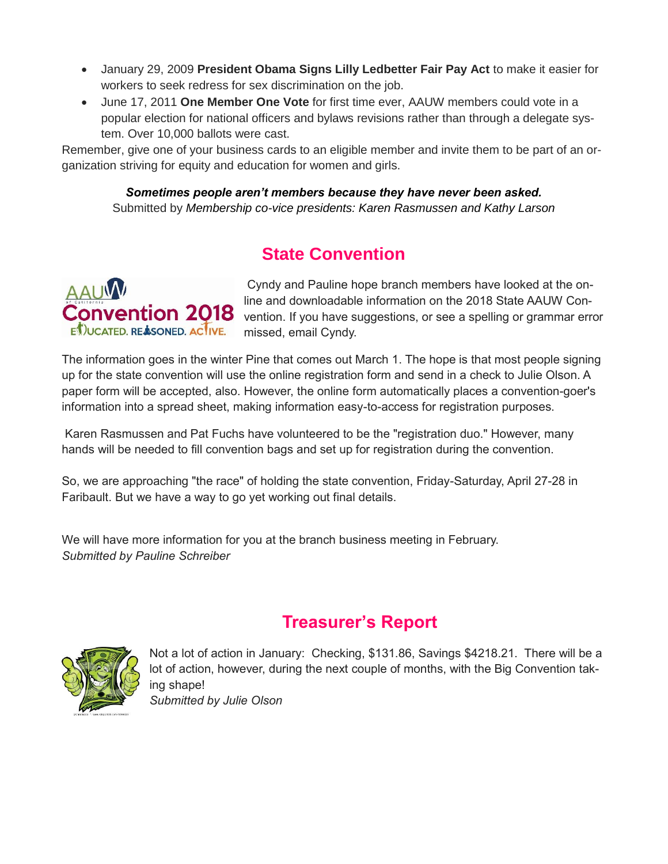- January 29, 2009 **President Obama Signs Lilly Ledbetter Fair Pay Act** to make it easier for workers to seek redress for sex discrimination on the job.
- June 17, 2011 **One Member One Vote** for first time ever, AAUW members could vote in a popular election for national officers and bylaws revisions rather than through a delegate system. Over 10,000 ballots were cast.

Remember, give one of your business cards to an eligible member and invite them to be part of an organization striving for equity and education for women and girls.

*Sometimes people aren't members because they have never been asked.* Submitted by *Membership co-vice presidents: Karen Rasmussen and Kathy Larson* 

# **State Convention**



Cyndy and Pauline hope branch members have looked at the online and downloadable information on the 2018 State AAUW Convention. If you have suggestions, or see a spelling or grammar error missed, email Cyndy.

The information goes in the winter Pine that comes out March 1. The hope is that most people signing up for the state convention will use the online registration form and send in a check to Julie Olson. A paper form will be accepted, also. However, the online form automatically places a convention-goer's information into a spread sheet, making information easy-to-access for registration purposes.

Karen Rasmussen and Pat Fuchs have volunteered to be the "registration duo." However, many hands will be needed to fill convention bags and set up for registration during the convention.

So, we are approaching "the race" of holding the state convention, Friday-Saturday, April 27-28 in Faribault. But we have a way to go yet working out final details.

We will have more information for you at the branch business meeting in February. *Submitted by Pauline Schreiber*

#### **Treasurer's Report**



Not a lot of action in January: Checking, \$131.86, Savings \$4218.21. There will be a lot of action, however, during the next couple of months, with the Big Convention taking shape! *Submitted by Julie Olson*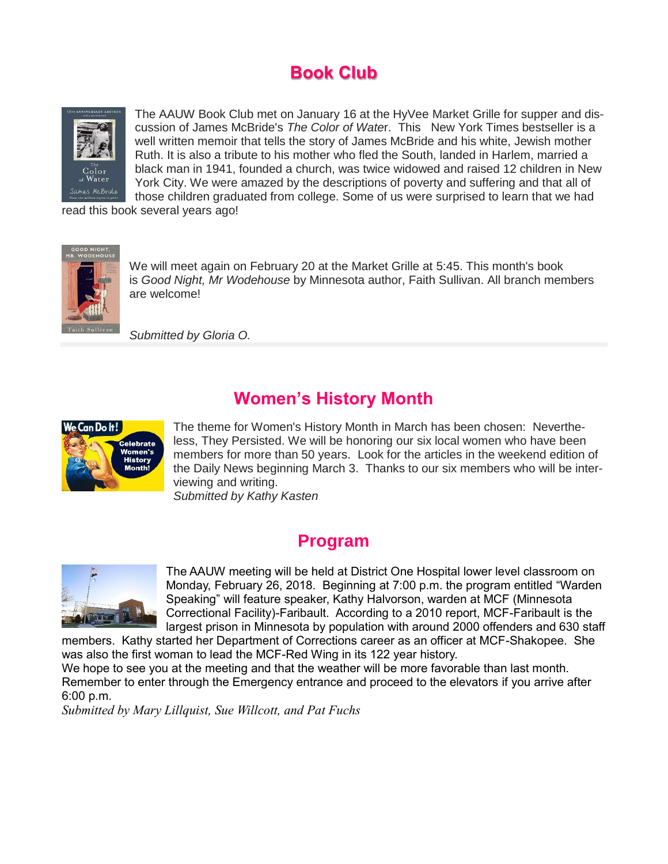# **Book Club**



The AAUW Book Club met on January 16 at the HyVee Market Grille for supper and discussion of James McBride's *The Color of Wate*r. This New York Times bestseller is a well written memoir that tells the story of James McBride and his white, Jewish mother Ruth. It is also a tribute to his mother who fled the South, landed in Harlem, married a black man in 1941, founded a church, was twice widowed and raised 12 children in New York City. We were amazed by the descriptions of poverty and suffering and that all of those children graduated from college. Some of us were surprised to learn that we had

read this book several years ago!



We will meet again on February 20 at the Market Grille at 5:45. This month's book is *Good Night, Mr Wodehouse* by Minnesota author, Faith Sullivan. All branch members are welcome!

*Submitted by Gloria O.*

#### **Women's History Month**



The theme for Women's History Month in March has been chosen: Nevertheless, They Persisted. We will be honoring our six local women who have been members for more than 50 years. Look for the articles in the weekend edition of the Daily News beginning March 3. Thanks to our six members who will be interviewing and writing. *Submitted by Kathy Kasten*

#### **Program**



The AAUW meeting will be held at District One Hospital lower level classroom on Monday, February 26, 2018. Beginning at 7:00 p.m. the program entitled "Warden Speaking" will feature speaker, Kathy Halvorson, warden at MCF (Minnesota Correctional Facility)-Faribault. According to a 2010 report, MCF-Faribault is the largest prison in Minnesota by population with around 2000 offenders and 630 staff

members. Kathy started her Department of Corrections career as an officer at MCF-Shakopee. She was also the first woman to lead the MCF-Red Wing in its 122 year history.

We hope to see you at the meeting and that the weather will be more favorable than last month. Remember to enter through the Emergency entrance and proceed to the elevators if you arrive after 6:00 p.m.

*Submitted by Mary Lillquist, Sue Willcott, and Pat Fuchs*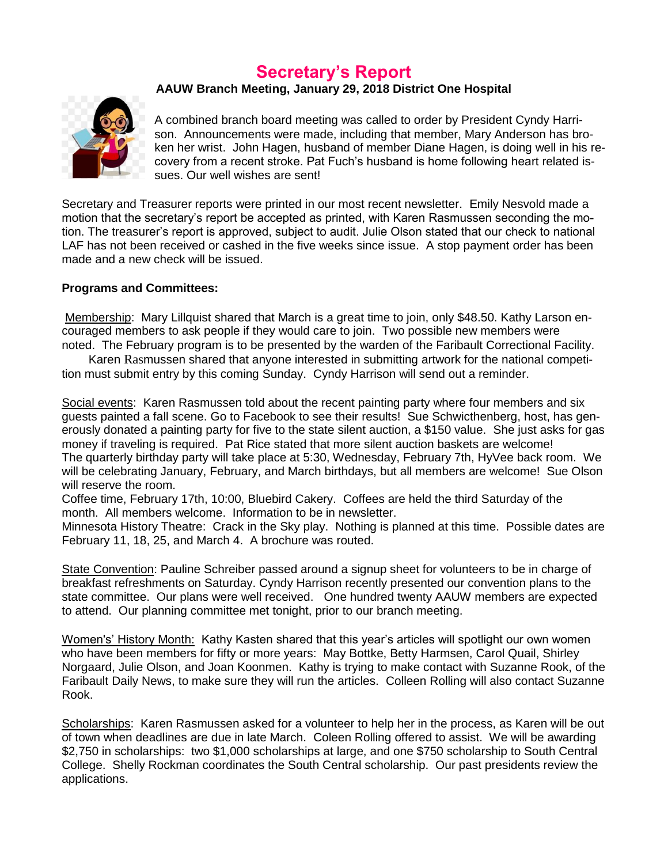#### **Secretary's Report**

#### **AAUW Branch Meeting, January 29, 2018 District One Hospital**



A combined branch board meeting was called to order by President Cyndy Harrison. Announcements were made, including that member, Mary Anderson has broken her wrist. John Hagen, husband of member Diane Hagen, is doing well in his recovery from a recent stroke. Pat Fuch's husband is home following heart related issues. Our well wishes are sent!

Secretary and Treasurer reports were printed in our most recent newsletter. Emily Nesvold made a motion that the secretary's report be accepted as printed, with Karen Rasmussen seconding the motion. The treasurer's report is approved, subject to audit. Julie Olson stated that our check to national LAF has not been received or cashed in the five weeks since issue. A stop payment order has been made and a new check will be issued.

#### **Programs and Committees:**

Membership: Mary Lillquist shared that March is a great time to join, only \$48.50. Kathy Larson encouraged members to ask people if they would care to join. Two possible new members were noted. The February program is to be presented by the warden of the Faribault Correctional Facility.

 Karen Rasmussen shared that anyone interested in submitting artwork for the national competition must submit entry by this coming Sunday. Cyndy Harrison will send out a reminder.

Social events: Karen Rasmussen told about the recent painting party where four members and six guests painted a fall scene. Go to Facebook to see their results! Sue Schwicthenberg, host, has generously donated a painting party for five to the state silent auction, a \$150 value. She just asks for gas money if traveling is required. Pat Rice stated that more silent auction baskets are welcome! The quarterly birthday party will take place at 5:30, Wednesday, February 7th, HyVee back room. We will be celebrating January, February, and March birthdays, but all members are welcome! Sue Olson will reserve the room.

Coffee time, February 17th, 10:00, Bluebird Cakery. Coffees are held the third Saturday of the month. All members welcome. Information to be in newsletter.

Minnesota History Theatre: Crack in the Sky play. Nothing is planned at this time. Possible dates are February 11, 18, 25, and March 4. A brochure was routed.

State Convention: Pauline Schreiber passed around a signup sheet for volunteers to be in charge of breakfast refreshments on Saturday. Cyndy Harrison recently presented our convention plans to the state committee. Our plans were well received. One hundred twenty AAUW members are expected to attend. Our planning committee met tonight, prior to our branch meeting.

Women's' History Month: Kathy Kasten shared that this year's articles will spotlight our own women who have been members for fifty or more years: May Bottke, Betty Harmsen, Carol Quail, Shirley Norgaard, Julie Olson, and Joan Koonmen. Kathy is trying to make contact with Suzanne Rook, of the Faribault Daily News, to make sure they will run the articles. Colleen Rolling will also contact Suzanne Rook.

Scholarships: Karen Rasmussen asked for a volunteer to help her in the process, as Karen will be out of town when deadlines are due in late March. Coleen Rolling offered to assist. We will be awarding \$2,750 in scholarships: two \$1,000 scholarships at large, and one \$750 scholarship to South Central College. Shelly Rockman coordinates the South Central scholarship. Our past presidents review the applications.